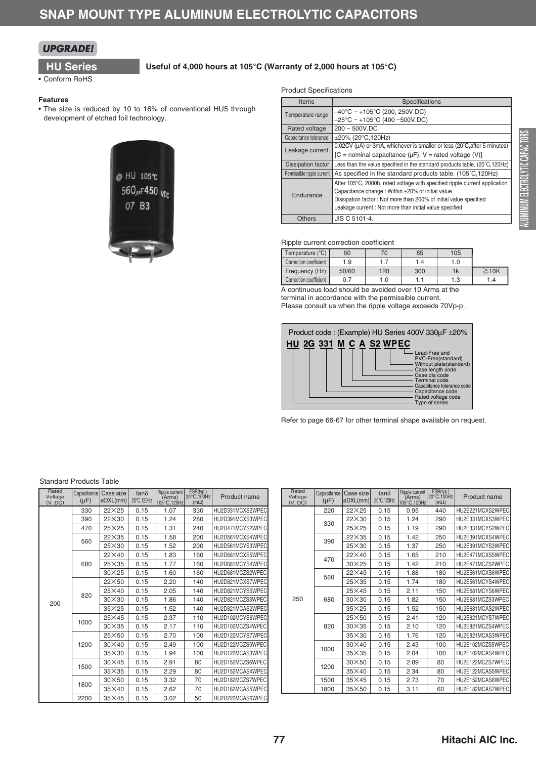# *UPGRADE!*

# **HU Series Useful of 4,000 hours at 105°C (Warranty of 2,000 hours at 105°C)**

## • Conform RoHS

### **Features**

• The size is reduced by 10 to 16% of conventional HU5 through development of etched foil technology.



|               | <b>Product Specifications</b> |                                                                                    |  |  |  |  |  |
|---------------|-------------------------------|------------------------------------------------------------------------------------|--|--|--|--|--|
|               | Items                         | Specifications                                                                     |  |  |  |  |  |
|               | Temperature range             | $-40^{\circ}$ C ~ +105°C (200, 250V.DC)<br>$-25^{\circ}$ C ~ +105°C (400 ~500V.DC) |  |  |  |  |  |
| Rated voltage |                               | 200 ~ 500V.DC                                                                      |  |  |  |  |  |
|               | Capacitance tolerance         | ±20% (20°C,120Hz)                                                                  |  |  |  |  |  |
|               |                               | 0.02CV (uA) or 3mA, whichever is smaller or le                                     |  |  |  |  |  |

| Leakage current            | 10.02CV (µA) or 3mA, whichever is smaller or less (20°C, after 5 minutes)   |
|----------------------------|-----------------------------------------------------------------------------|
|                            | $\vert$ [C = nominal capacitance ( $\mu$ F), V = rated voltage (V)]         |
| <b>Dissipation factor</b>  | Less than the value specified in the standard products table. (20°C,120Hz)  |
| Permissible ripple current | As specified in the standard products table. (105°C, 120Hz)                 |
|                            | After 105°C, 2000h, rated voltage with specified ripple current application |
| Endurance                  | Capacitance change : Within ±20% of initial value                           |
|                            | Dissipation factor: Not more than 200% of initial value specified           |
|                            | Leakage current : Not more than initial value specified                     |
| <b>Others</b>              | JIS C 5101-4.                                                               |

#### Ripple current correction coefficient

| Temperature (°C)       | 60    | 70  | 85  | 105 |            |
|------------------------|-------|-----|-----|-----|------------|
| Correction coefficient | 1.9   | 17  | 1.4 | 1.0 |            |
| Frequency (Hz)         | 50/60 | 120 | 300 | 1k  | $\geq$ 10K |
| Correction coefficient | 0.7   | 1.0 |     | 1.3 | 1.4        |

A continuous load should be avoided over 10 Arms at the terminal in accordance with the permissible current. Please consult us when the ripple voltage exceeds 70Vp-p .



Refer to page 66-67 for other terminal shape available on request.

## Standard Products Table

| Rated<br>Voltage<br>(V. DC) | Capacitance<br>$(\mu F)$ | Case size<br>øDXL(mm) | $tan\delta$<br>20°C,120Hz | Ripple current<br>(Arms)<br>105°C.120Hz | ESR(typ.)<br>20°C, 100Hz<br>$(m\Omega)$ | Product name     |
|-----------------------------|--------------------------|-----------------------|---------------------------|-----------------------------------------|-----------------------------------------|------------------|
|                             | 330                      | $22\times25$          | 0.15                      | 1.07                                    | 330                                     | HU2D331MCXS2WPEC |
|                             | 390                      | 22×30                 | 0.15                      | 1.24                                    | 280                                     | HU2D391MCXS3WPEC |
|                             | 470                      | 25×25                 | 0.15                      | 1.31                                    | 240                                     | HU2D471MCYS2WPEC |
|                             | 560                      | 22×35                 | 0.15                      | 1.58                                    | 200                                     | HU2D561MCXS4WPEC |
|                             |                          | 25×30                 | 0.15                      | 1.52                                    | 200                                     | HU2D561MCYS3WPEC |
|                             |                          | 22×40                 | 0.15                      | 1.83                                    | 160                                     | HU2D681MCXS5WPEC |
|                             | 680                      | 25×35                 | 0.15                      | 1.77                                    | 160                                     | HU2D681MCYS4WPEC |
|                             |                          | 30×25                 | 0.15                      | 1.60                                    | 160                                     | HU2D681MCZS2WPEC |
|                             |                          | 22×50                 | 0.15                      | 2.20                                    | 140                                     | HU2D821MCXS7WPEC |
|                             | 820                      | $25\times 40$         | 0.15                      | 2.05                                    | 140                                     | HU2D821MCYS5WPEC |
| 200                         |                          | 30×30                 | 0.15                      | 1.86                                    | 140                                     | HU2D821MCZS3WPEC |
|                             |                          | $35\times25$          | 0.15                      | 1.52                                    | 140                                     | HU2D821MCAS2WPEC |
|                             | 1000                     | $25\times 45$         | 0.15                      | 2.37                                    | 110                                     | HU2D102MCYS6WPEC |
|                             |                          | 30×35                 | 0.15                      | 2.17                                    | 110                                     | HU2D102MCZS4WPEC |
|                             | 1200                     | 25×50                 | 0.15                      | 2.70                                    | 100                                     | HU2D122MCYS7WPEC |
|                             |                          | $30\times40$          | 0.15                      | 2.49                                    | 100                                     | HU2D122MCZS5WPEC |
|                             |                          | $35\times30$          | 0.15                      | 1.94                                    | 100                                     | HU2D122MCAS3WPEC |
|                             | 1500                     | $30\times45$          | 0.15                      | 2.91                                    | 80                                      | HU2D152MCZS6WPEC |
|                             |                          | 35×35                 | 0.15                      | 2.29                                    | 80                                      | HU2D152MCAS4WPEC |
|                             |                          | $30\times50$          | 0.15                      | 3.32                                    | 70                                      | HU2D182MCZS7WPEC |
|                             | 1800                     | $35\times40$          | 0.15                      | 2.62                                    | 70                                      | HU2D182MCAS5WPEC |
|                             | 2200                     | $35\times 45$         | 0.15                      | 3.02                                    | 50                                      | HU2D222MCAS6WPEC |

| Rated<br>Voltage<br>(V. DC) | Capacitance<br>$(\mu F)$ | Case size<br>øDXL(mm) | $tan\delta$<br>20°C,120Hz | Ripple current<br>(Arms)<br>105°C.120Hz | ESR(typ.)<br>20°C,100Hz<br>$(m\Omega)$ | Product name     |
|-----------------------------|--------------------------|-----------------------|---------------------------|-----------------------------------------|----------------------------------------|------------------|
|                             | 220                      | 22×25                 | 0.15                      | 0.95                                    | 440                                    | HU2E221MCXS2WPEC |
|                             | 330                      | 22×30                 | 0.15                      | 1.24                                    | 290                                    | HU2E331MCXS3WPEC |
|                             |                          | 25×25                 | 0.15                      | 1.19                                    | 290                                    | HU2E331MCYS2WPEC |
|                             | 390                      | 22×35                 | 0.15                      | 1.42                                    | 250                                    | HU2E391MCXS4WPEC |
|                             |                          | 25×30                 | 0.15                      | 1.37                                    | 250                                    | HU2E391MCYS3WPEC |
|                             | 470                      | 22×40                 | 0.15                      | 1.65                                    | 210                                    | HU2E471MCXS5WPEC |
|                             |                          | $30\times25$          | 0.15                      | 1.42                                    | 210                                    | HU2E471MCZS2WPEC |
|                             | 560                      | 22×45                 | 0.15                      | 1.88                                    | 180                                    | HU2E561MCXS6WPEC |
|                             |                          | $25\times35$          | 0.15                      | 1.74                                    | 180                                    | HU2E561MCYS4WPEC |
|                             | 680                      | $25\times 45$         | 0.15                      | 2.11                                    | 150                                    | HU2E681MCYS6WPEC |
| 250                         |                          | $30\times30$          | 0.15                      | 1.82                                    | 150                                    | HU2E681MCZS3WPEC |
|                             |                          | $35\times25$          | 0.15                      | 1.52                                    | 150                                    | HU2E681MCAS2WPEC |
|                             | 820                      | 25×50                 | 0.15                      | 2.41                                    | 120                                    | HU2E821MCYS7WPEC |
|                             |                          | $30\times35$          | 0.15                      | 2.10                                    | 120                                    | HU2E821MCZS4WPEC |
|                             |                          | $35\times30$          | 0.15                      | 1.76                                    | 120                                    | HU2E821MCAS3WPEC |
|                             | 1000                     | $30\times40$          | 0.15                      | 2.43                                    | 100                                    | HU2E102MCZS5WPEC |
|                             |                          | 35×35                 | 0.15                      | 2.04                                    | 100                                    | HU2E102MCAS4WPEC |
|                             | 1200                     | $30\times50$          | 0.15                      | 2.89                                    | 80                                     | HU2E122MCZS7WPEC |
|                             |                          | $35\times40$          | 0.15                      | 2.34                                    | 80                                     | HU2E122MCAS5WPEC |
|                             | 1500                     | $35\times45$          | 0.15                      | 2.73                                    | 70                                     | HU2E152MCAS6WPEC |
|                             | 1800                     | $35\times50$          | 0.15                      | 3.11                                    | 60                                     | HU2E182MCAS7WPEC |